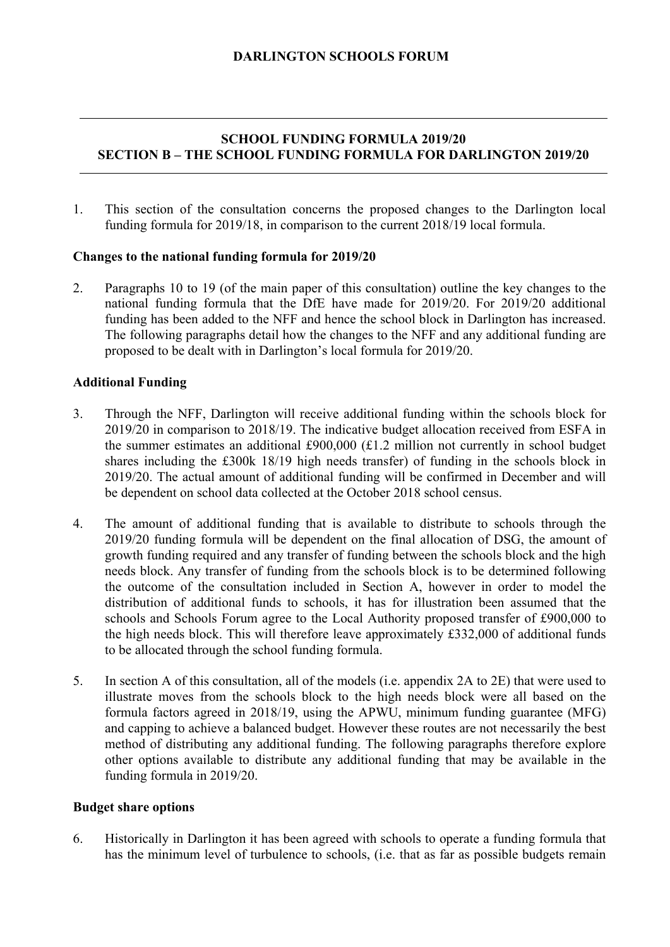# **SCHOOL FUNDING FORMULA 2019/20 SECTION B – THE SCHOOL FUNDING FORMULA FOR DARLINGTON 2019/20**

1. This section of the consultation concerns the proposed changes to the Darlington local funding formula for 2019/18, in comparison to the current 2018/19 local formula.

#### **Changes to the national funding formula for 2019/20**

2. Paragraphs 10 to 19 (of the main paper of this consultation) outline the key changes to the national funding formula that the DfE have made for 2019/20. For 2019/20 additional funding has been added to the NFF and hence the school block in Darlington has increased. The following paragraphs detail how the changes to the NFF and any additional funding are proposed to be dealt with in Darlington's local formula for 2019/20.

#### **Additional Funding**

- 3. Through the NFF, Darlington will receive additional funding within the schools block for 2019/20 in comparison to 2018/19. The indicative budget allocation received from ESFA in the summer estimates an additional £900,000 (£1.2 million not currently in school budget shares including the £300k 18/19 high needs transfer) of funding in the schools block in 2019/20. The actual amount of additional funding will be confirmed in December and will be dependent on school data collected at the October 2018 school census.
- 4. The amount of additional funding that is available to distribute to schools through the 2019/20 funding formula will be dependent on the final allocation of DSG, the amount of growth funding required and any transfer of funding between the schools block and the high needs block. Any transfer of funding from the schools block is to be determined following the outcome of the consultation included in Section A, however in order to model the distribution of additional funds to schools, it has for illustration been assumed that the schools and Schools Forum agree to the Local Authority proposed transfer of £900,000 to the high needs block. This will therefore leave approximately £332,000 of additional funds to be allocated through the school funding formula.
- 5. In section A of this consultation, all of the models (i.e. appendix 2A to 2E) that were used to illustrate moves from the schools block to the high needs block were all based on the formula factors agreed in 2018/19, using the APWU, minimum funding guarantee (MFG) and capping to achieve a balanced budget. However these routes are not necessarily the best method of distributing any additional funding. The following paragraphs therefore explore other options available to distribute any additional funding that may be available in the funding formula in 2019/20.

#### **Budget share options**

6. Historically in Darlington it has been agreed with schools to operate a funding formula that has the minimum level of turbulence to schools, (i.e. that as far as possible budgets remain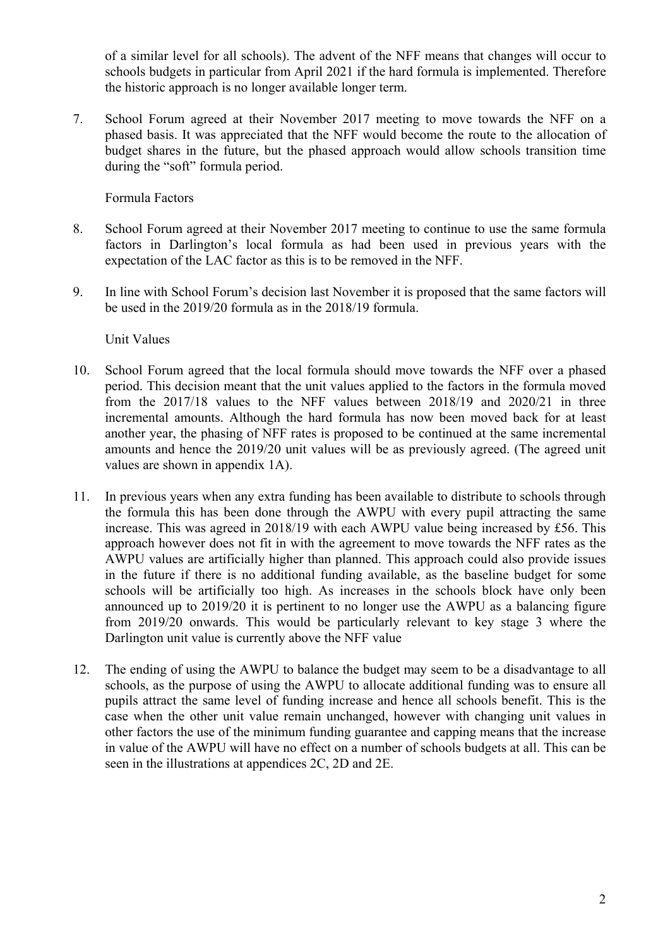of a similar level for all schools). The advent of the NFF means that changes will occur to schools budgets in particular from April 2021 if the hard formula is implemented. Therefore the historic approach is no longer available longer term.

7. School Forum agreed at their November 2017 meeting to move towards the NFF on a phased basis. It was appreciated that the NFF would become the route to the allocation of budget shares in the future, but the phased approach would allow schools transition time during the "soft" formula period.

Formula Factors

- 8. School Forum agreed at their November 2017 meeting to continue to use the same formula factors in Darlington's local formula as had been used in previous years with the expectation of the LAC factor as this is to be removed in the NFF.
- 9. In line with School Forum's decision last November it is proposed that the same factors will be used in the 2019/20 formula as in the 2018/19 formula.

Unit Values

- 10. School Forum agreed that the local formula should move towards the NFF over a phased period. This decision meant that the unit values applied to the factors in the formula moved from the 2017/18 values to the NFF values between 2018/19 and 2020/21 in three incremental amounts. Although the hard formula has now been moved back for at least another year, the phasing of NFF rates is proposed to be continued at the same incremental amounts and hence the 2019/20 unit values will be as previously agreed. (The agreed unit values are shown in appendix 1A).
- 11. In previous years when any extra funding has been available to distribute to schools through the formula this has been done through the AWPU with every pupil attracting the same increase. This was agreed in 2018/19 with each AWPU value being increased by £56. This approach however does not fit in with the agreement to move towards the NFF rates as the AWPU values are artificially higher than planned. This approach could also provide issues in the future if there is no additional funding available, as the baseline budget for some schools will be artificially too high. As increases in the schools block have only been announced up to 2019/20 it is pertinent to no longer use the AWPU as a balancing figure from 2019/20 onwards. This would be particularly relevant to key stage 3 where the Darlington unit value is currently above the NFF value
- 12. The ending of using the AWPU to balance the budget may seem to be a disadvantage to all schools, as the purpose of using the AWPU to allocate additional funding was to ensure all pupils attract the same level of funding increase and hence all schools benefit. This is the case when the other unit value remain unchanged, however with changing unit values in other factors the use of the minimum funding guarantee and capping means that the increase in value of the AWPU will have no effect on a number of schools budgets at all. This can be seen in the illustrations at appendices 2C, 2D and 2E.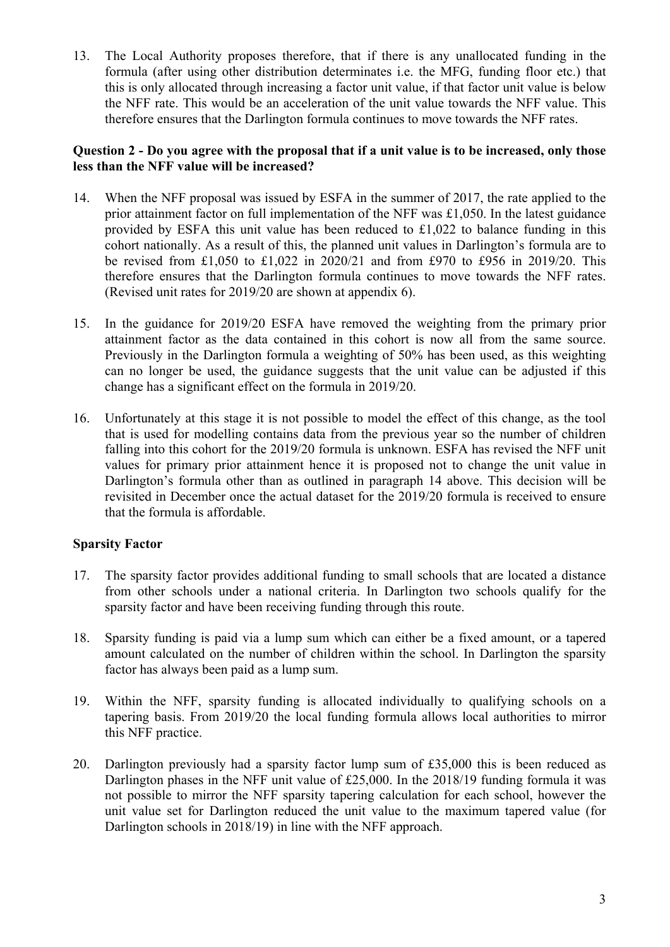13. The Local Authority proposes therefore, that if there is any unallocated funding in the formula (after using other distribution determinates i.e. the MFG, funding floor etc.) that this is only allocated through increasing a factor unit value, if that factor unit value is below the NFF rate. This would be an acceleration of the unit value towards the NFF value. This therefore ensures that the Darlington formula continues to move towards the NFF rates.

### **Question 2 - Do you agree with the proposal that if a unit value is to be increased, only those less than the NFF value will be increased?**

- 14. When the NFF proposal was issued by ESFA in the summer of 2017, the rate applied to the prior attainment factor on full implementation of the NFF was £1,050. In the latest guidance provided by ESFA this unit value has been reduced to £1,022 to balance funding in this cohort nationally. As a result of this, the planned unit values in Darlington's formula are to be revised from £1,050 to £1,022 in 2020/21 and from £970 to £956 in 2019/20. This therefore ensures that the Darlington formula continues to move towards the NFF rates. (Revised unit rates for 2019/20 are shown at appendix 6).
- 15. In the guidance for 2019/20 ESFA have removed the weighting from the primary prior attainment factor as the data contained in this cohort is now all from the same source. Previously in the Darlington formula a weighting of 50% has been used, as this weighting can no longer be used, the guidance suggests that the unit value can be adjusted if this change has a significant effect on the formula in 2019/20.
- falling into this cohort for the 2019/20 formula is unknown. ESFA has revised the NFF unit 16. Unfortunately at this stage it is not possible to model the effect of this change, as the tool that is used for modelling contains data from the previous year so the number of children values for primary prior attainment hence it is proposed not to change the unit value in Darlington's formula other than as outlined in paragraph 14 above. This decision will be revisited in December once the actual dataset for the 2019/20 formula is received to ensure that the formula is affordable.

## **Sparsity Factor**

- 17. The sparsity factor provides additional funding to small schools that are located a distance from other schools under a national criteria. In Darlington two schools qualify for the sparsity factor and have been receiving funding through this route.
- 18. Sparsity funding is paid via a lump sum which can either be a fixed amount, or a tapered amount calculated on the number of children within the school. In Darlington the sparsity factor has always been paid as a lump sum.
- 19. Within the NFF, sparsity funding is allocated individually to qualifying schools on a tapering basis. From 2019/20 the local funding formula allows local authorities to mirror this NFF practice.
- 20. Darlington previously had a sparsity factor lump sum of £35,000 this is been reduced as Darlington phases in the NFF unit value of £25,000. In the 2018/19 funding formula it was not possible to mirror the NFF sparsity tapering calculation for each school, however the unit value set for Darlington reduced the unit value to the maximum tapered value (for Darlington schools in 2018/19) in line with the NFF approach.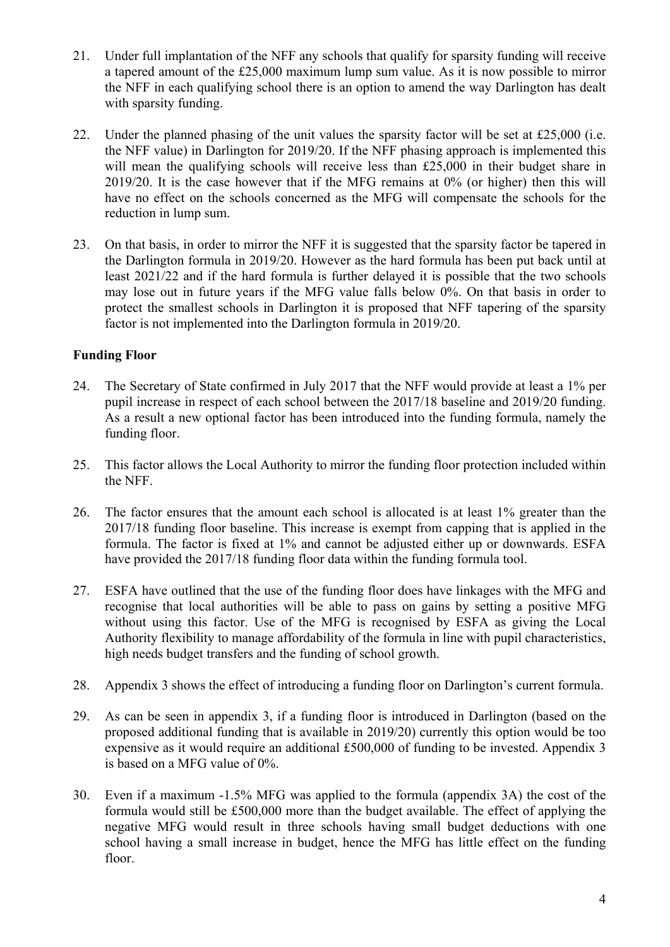- a tapered amount of the £25,000 maximum lump sum value. As it is now possible to mirror 21. Under full implantation of the NFF any schools that qualify for sparsity funding will receive the NFF in each qualifying school there is an option to amend the way Darlington has dealt with sparsity funding.
- 22. Under the planned phasing of the unit values the sparsity factor will be set at £25,000 (i.e. the NFF value) in Darlington for 2019/20. If the NFF phasing approach is implemented this will mean the qualifying schools will receive less than £25,000 in their budget share in 2019/20. It is the case however that if the MFG remains at 0% (or higher) then this will have no effect on the schools concerned as the MFG will compensate the schools for the reduction in lump sum.
- may lose out in future years if the MFG value falls below 0%. On that basis in order to 23. On that basis, in order to mirror the NFF it is suggested that the sparsity factor be tapered in the Darlington formula in 2019/20. However as the hard formula has been put back until at least 2021/22 and if the hard formula is further delayed it is possible that the two schools protect the smallest schools in Darlington it is proposed that NFF tapering of the sparsity factor is not implemented into the Darlington formula in 2019/20.

# **Funding Floor**

- 24. The Secretary of State confirmed in July 2017 that the NFF would provide at least a 1% per pupil increase in respect of each school between the 2017/18 baseline and 2019/20 funding. As a result a new optional factor has been introduced into the funding formula, namely the funding floor.
- 25. This factor allows the Local Authority to mirror the funding floor protection included within the NFF.
- 26. The factor ensures that the amount each school is allocated is at least 1% greater than the 2017/18 funding floor baseline. This increase is exempt from capping that is applied in the formula. The factor is fixed at 1% and cannot be adjusted either up or downwards. ESFA have provided the 2017/18 funding floor data within the funding formula tool.
- 27. ESFA have outlined that the use of the funding floor does have linkages with the MFG and recognise that local authorities will be able to pass on gains by setting a positive MFG without using this factor. Use of the MFG is recognised by ESFA as giving the Local Authority flexibility to manage affordability of the formula in line with pupil characteristics, high needs budget transfers and the funding of school growth.
- 28. Appendix 3 shows the effect of introducing a funding floor on Darlington's current formula.
- 29. As can be seen in appendix 3, if a funding floor is introduced in Darlington (based on the proposed additional funding that is available in 2019/20) currently this option would be too expensive as it would require an additional £500,000 of funding to be invested. Appendix 3 is based on a MFG value of 0%.
- 30. Even if a maximum -1.5% MFG was applied to the formula (appendix 3A) the cost of the formula would still be £500,000 more than the budget available. The effect of applying the negative MFG would result in three schools having small budget deductions with one school having a small increase in budget, hence the MFG has little effect on the funding floor.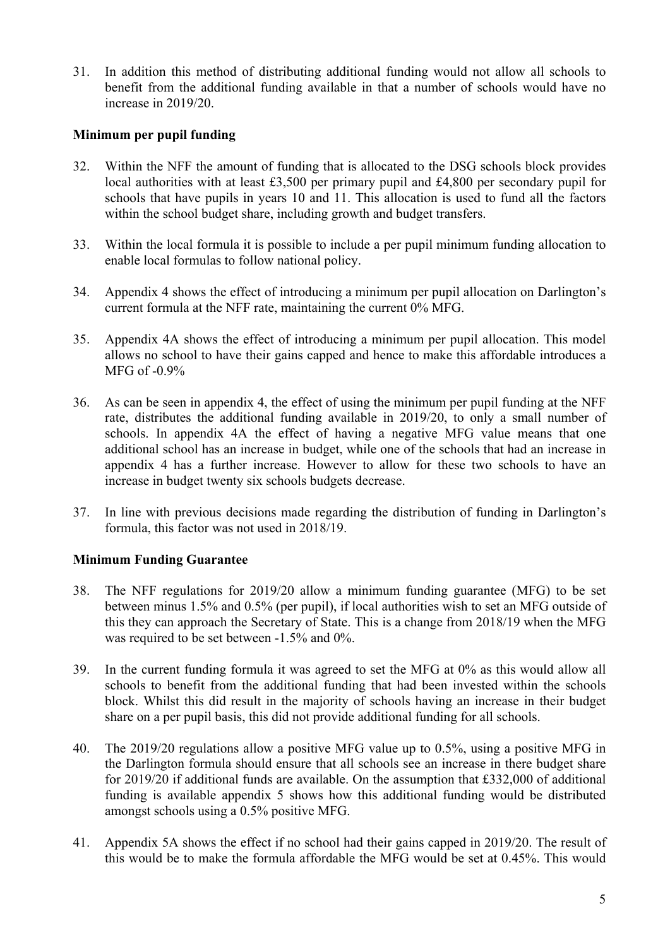31. In addition this method of distributing additional funding would not allow all schools to benefit from the additional funding available in that a number of schools would have no increase in 2019/20.

# **Minimum per pupil funding**

- 32. Within the NFF the amount of funding that is allocated to the DSG schools block provides local authorities with at least £3,500 per primary pupil and £4,800 per secondary pupil for schools that have pupils in years 10 and 11. This allocation is used to fund all the factors within the school budget share, including growth and budget transfers.
- 33. Within the local formula it is possible to include a per pupil minimum funding allocation to enable local formulas to follow national policy.
- 34. Appendix 4 shows the effect of introducing a minimum per pupil allocation on Darlington's current formula at the NFF rate, maintaining the current 0% MFG.
- 35. Appendix 4A shows the effect of introducing a minimum per pupil allocation. This model allows no school to have their gains capped and hence to make this affordable introduces a MFG of -0.9%
- 36. As can be seen in appendix 4, the effect of using the minimum per pupil funding at the NFF rate, distributes the additional funding available in 2019/20, to only a small number of schools. In appendix 4A the effect of having a negative MFG value means that one additional school has an increase in budget, while one of the schools that had an increase in appendix 4 has a further increase. However to allow for these two schools to have an increase in budget twenty six schools budgets decrease.
- 37. In line with previous decisions made regarding the distribution of funding in Darlington's formula, this factor was not used in 2018/19.

## **Minimum Funding Guarantee**

- this they can approach the Secretary of State. This is a change from 2018/19 when the MFG 38. The NFF regulations for 2019/20 allow a minimum funding guarantee (MFG) to be set between minus 1.5% and 0.5% (per pupil), if local authorities wish to set an MFG outside of was required to be set between -1.5% and 0%.
- 39. In the current funding formula it was agreed to set the MFG at 0% as this would allow all schools to benefit from the additional funding that had been invested within the schools block. Whilst this did result in the majority of schools having an increase in their budget share on a per pupil basis, this did not provide additional funding for all schools.
- 40. The 2019/20 regulations allow a positive MFG value up to 0.5%, using a positive MFG in the Darlington formula should ensure that all schools see an increase in there budget share for 2019/20 if additional funds are available. On the assumption that £332,000 of additional funding is available appendix 5 shows how this additional funding would be distributed amongst schools using a 0.5% positive MFG.
- 41. Appendix 5A shows the effect if no school had their gains capped in 2019/20. The result of this would be to make the formula affordable the MFG would be set at 0.45%. This would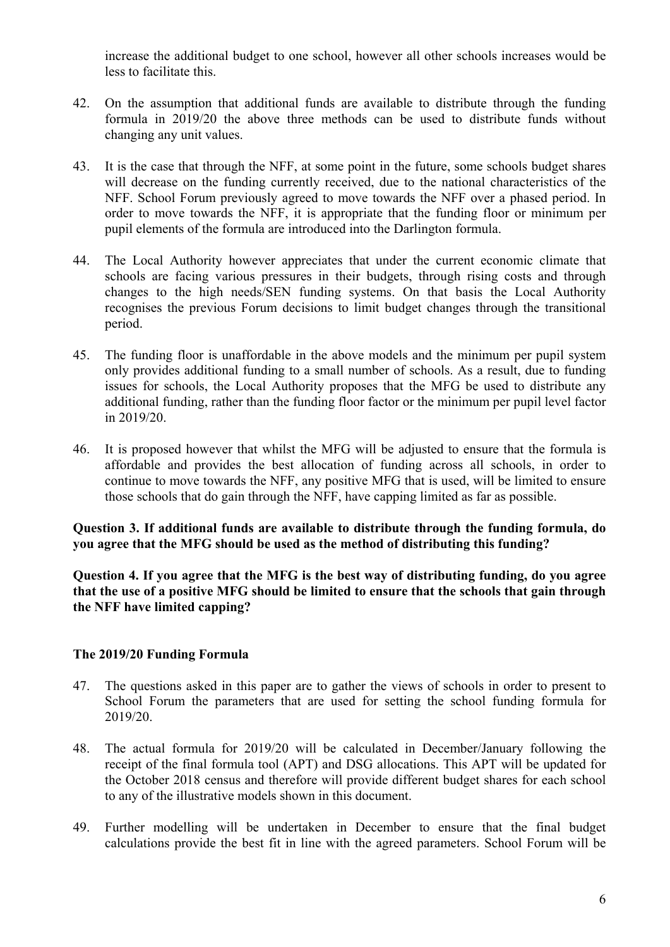increase the additional budget to one school, however all other schools increases would be less to facilitate this.

- 42. On the assumption that additional funds are available to distribute through the funding formula in 2019/20 the above three methods can be used to distribute funds without changing any unit values.
- 43. It is the case that through the NFF, at some point in the future, some schools budget shares will decrease on the funding currently received, due to the national characteristics of the NFF. School Forum previously agreed to move towards the NFF over a phased period. In order to move towards the NFF, it is appropriate that the funding floor or minimum per pupil elements of the formula are introduced into the Darlington formula.
- 44. The Local Authority however appreciates that under the current economic climate that schools are facing various pressures in their budgets, through rising costs and through changes to the high needs/SEN funding systems. On that basis the Local Authority recognises the previous Forum decisions to limit budget changes through the transitional period.
- 45. The funding floor is unaffordable in the above models and the minimum per pupil system only provides additional funding to a small number of schools. As a result, due to funding issues for schools, the Local Authority proposes that the MFG be used to distribute any additional funding, rather than the funding floor factor or the minimum per pupil level factor in 2019/20.
- 46. It is proposed however that whilst the MFG will be adjusted to ensure that the formula is affordable and provides the best allocation of funding across all schools, in order to continue to move towards the NFF, any positive MFG that is used, will be limited to ensure those schools that do gain through the NFF, have capping limited as far as possible.

**Question 3. If additional funds are available to distribute through the funding formula, do you agree that the MFG should be used as the method of distributing this funding?** 

**Question 4. If you agree that the MFG is the best way of distributing funding, do you agree that the use of a positive MFG should be limited to ensure that the schools that gain through the NFF have limited capping?** 

## **The 2019/20 Funding Formula**

- 47. The questions asked in this paper are to gather the views of schools in order to present to School Forum the parameters that are used for setting the school funding formula for 2019/20.
- 48. The actual formula for 2019/20 will be calculated in December/January following the receipt of the final formula tool (APT) and DSG allocations. This APT will be updated for the October 2018 census and therefore will provide different budget shares for each school to any of the illustrative models shown in this document.
- 49. Further modelling will be undertaken in December to ensure that the final budget calculations provide the best fit in line with the agreed parameters. School Forum will be